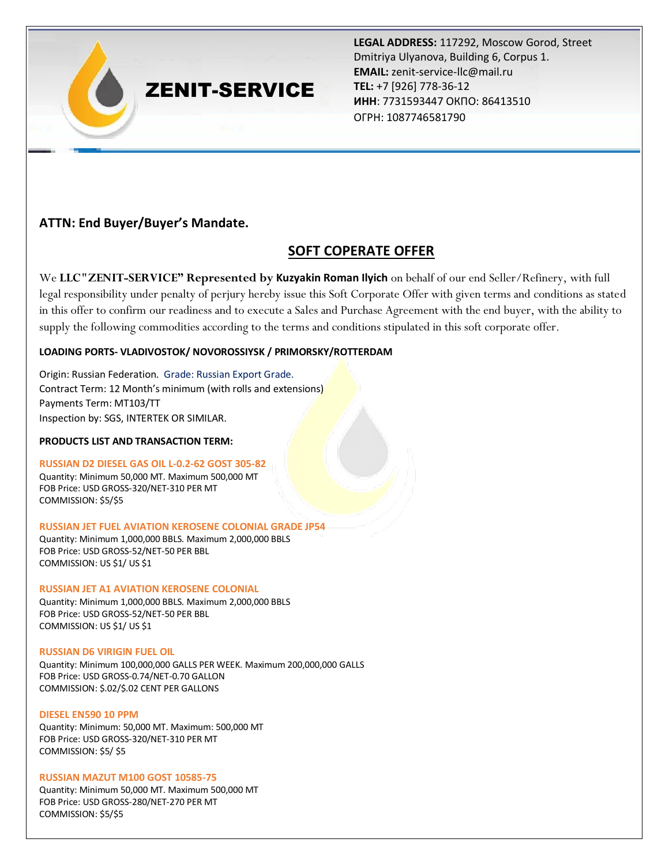# ZENIT-SERVICE

**LEGAL ADDRESS:** 117292, Moscow Gorod, Street Dmitriya Ulyanova, Building 6, Corpus 1. **EMAIL:** zenit-service-llc@mail.ru **TEL:** +7 [926] 778-36-12 **ИНН**: 7731593447 ОКПО: 86413510 ОГРН: 1087746581790

# **ATTN: End Buyer/Buyer's Mandate.**

# **SOFT COPERATE OFFER**

We **LLC"ZENIT-SERVICE" Represented by Kuzyakin Roman Ilyich** on behalf of our end Seller/Refinery, with full legal responsibility under penalty of perjury hereby issue this Soft Corporate Offer with given terms and conditions as stated in this offer to confirm our readiness and to execute a Sales and Purchase Agreement with the end buyer, with the ability to supply the following commodities according to the terms and conditions stipulated in this soft corporate offer.

### **LOADING PORTS- VLADIVOSTOK/ NOVOROSSIYSK / PRIMORSKY/ROTTERDAM**

Origin: Russian Federation. Grade: Russian Export Grade. Contract Term: 12 Month's minimum (with rolls and extensions) Payments Term: MT103/TT Inspection by: SGS, INTERTEK OR SIMILAR.

#### **PRODUCTS LIST AND TRANSACTION TERM:**

#### **RUSSIAN D2 DIESEL GAS OIL L-0.2-62 GOST 305-82**

Quantity: Minimum 50,000 MT. Maximum 500,000 MT FOB Price: USD GROSS-320/NET-310 PER MT COMMISSION: \$5/\$5

**RUSSIAN JET FUEL AVIATION KEROSENE COLONIAL GRADE JP54** Quantity: Minimum 1,000,000 BBLS. Maximum 2,000,000 BBLS FOB Price: USD GROSS-52/NET-50 PER BBL

### **RUSSIAN JET A1 AVIATION KEROSENE COLONIAL**

Quantity: Minimum 1,000,000 BBLS. Maximum 2,000,000 BBLS FOB Price: USD GROSS-52/NET-50 PER BBL COMMISSION: US \$1/ US \$1

#### **RUSSIAN D6 VIRIGIN FUEL OIL**

COMMISSION: US \$1/ US \$1

Quantity: Minimum 100,000,000 GALLS PER WEEK. Maximum 200,000,000 GALLS FOB Price: USD GROSS-0.74/NET-0.70 GALLON COMMISSION: \$.02/\$.02 CENT PER GALLONS

#### **DIESEL EN590 10 PPM**

Quantity: Minimum: 50,000 MT. Maximum: 500,000 MT FOB Price: USD GROSS-320/NET-310 PER MT COMMISSION: \$5/ \$5

#### **RUSSIAN MAZUT M100 GOST 10585-75**

Quantity: Minimum 50,000 MT. Maximum 500,000 MT FOB Price: USD GROSS-280/NET-270 PER MT COMMISSION: \$5/\$5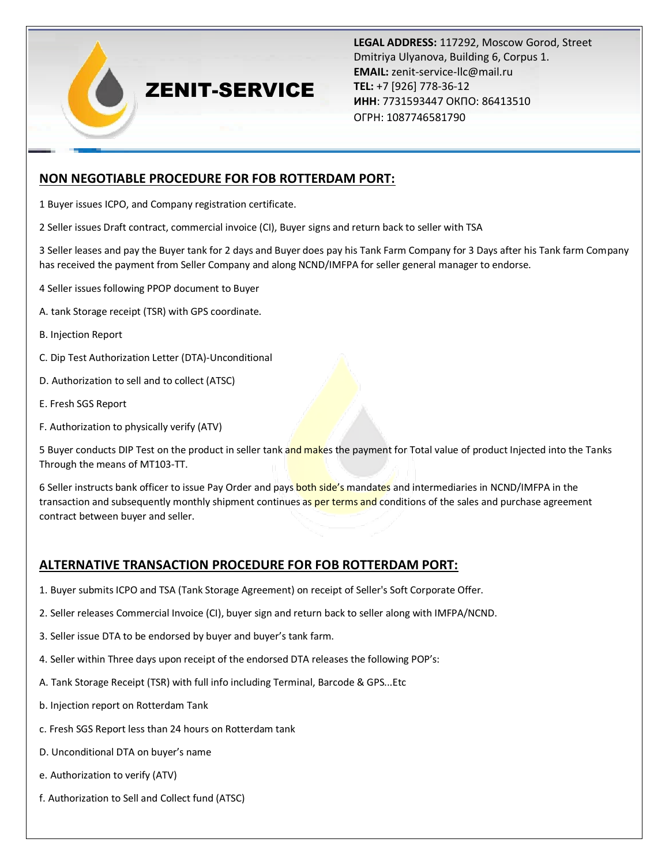# ZENIT-SERVICE

**LEGAL ADDRESS:** 117292, Moscow Gorod, Street Dmitriya Ulyanova, Building 6, Corpus 1. **EMAIL:** zenit-service-llc@mail.ru **TEL:** +7 [926] 778-36-12 **ИНН**: 7731593447 ОКПО: 86413510 ОГРН: 1087746581790

## **NON NEGOTIABLE PROCEDURE FOR FOB ROTTERDAM PORT:**

1 Buyer issues ICPO, and Company registration certificate.

2 Seller issues Draft contract, commercial invoice (CI), Buyer signs and return back to seller with TSA

3 Seller leases and pay the Buyer tank for 2 days and Buyer does pay his Tank Farm Company for 3 Days after his Tank farm Company has received the payment from Seller Company and along NCND/IMFPA for seller general manager to endorse.

- 4 Seller issues following PPOP document to Buyer
- A. tank Storage receipt (TSR) with GPS coordinate.
- B. Injection Report
- C. Dip Test Authorization Letter (DTA)-Unconditional
- D. Authorization to sell and to collect (ATSC)
- E. Fresh SGS Report
- F. Authorization to physically verify (ATV)

5 Buyer conducts DIP Test on the product in seller tank and makes the payment for Total value of product Injected into the Tanks Through the means of MT103-TT.

6 Seller instructs bank officer to issue Pay Order and pays both side's mandates and intermediaries in NCND/IMFPA in the transaction and subsequently monthly shipment continues as per terms and conditions of the sales and purchase agreement contract between buyer and seller.

### **ALTERNATIVE TRANSACTION PROCEDURE FOR FOB ROTTERDAM PORT:**

- 1. Buyer submits ICPO and TSA (Tank Storage Agreement) on receipt of Seller's Soft Corporate Offer.
- 2. Seller releases Commercial Invoice (CI), buyer sign and return back to seller along with IMFPA/NCND.
- 3. Seller issue DTA to be endorsed by buyer and buyer's tank farm.
- 4. Seller within Three days upon receipt of the endorsed DTA releases the following POP's:
- A. Tank Storage Receipt (TSR) with full info including Terminal, Barcode & GPS...Etc
- b. Injection report on Rotterdam Tank
- c. Fresh SGS Report less than 24 hours on Rotterdam tank
- D. Unconditional DTA on buyer's name
- e. Authorization to verify (ATV)
- f. Authorization to Sell and Collect fund (ATSC)